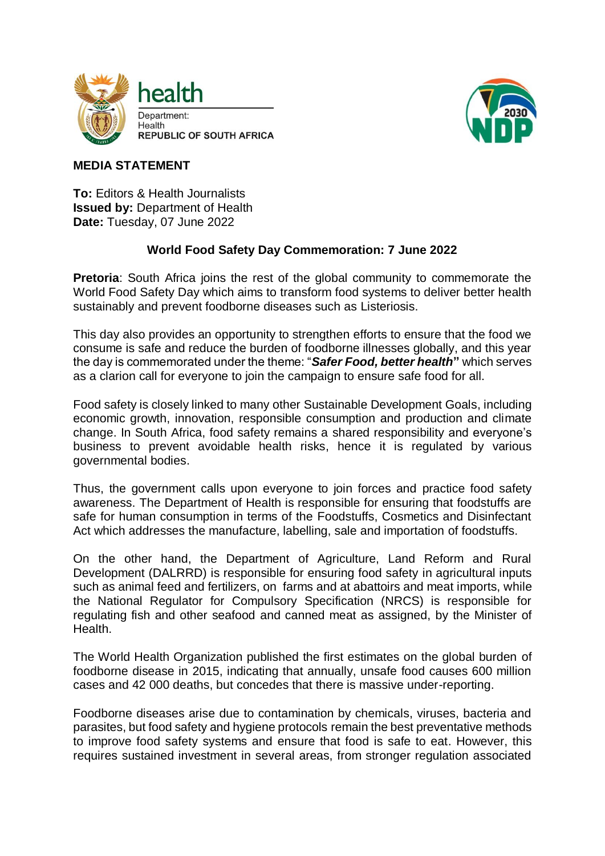



## **MEDIA STATEMENT**

**To:** Editors & Health Journalists **Issued by:** Department of Health **Date:** Tuesday, 07 June 2022

## **World Food Safety Day Commemoration: 7 June 2022**

**Pretoria**: South Africa joins the rest of the global community to commemorate the World Food Safety Day which aims to transform food systems to deliver better health sustainably and prevent foodborne diseases such as Listeriosis.

This day also provides an opportunity to strengthen efforts to ensure that the food we consume is safe and reduce the burden of foodborne illnesses globally, and this year the day is commemorated under the theme: "*Safer Food, better health***"** which serves as a clarion call for everyone to join the campaign to ensure safe food for all.

Food safety is closely linked to many other Sustainable Development Goals, including economic growth, innovation, responsible consumption and production and climate change. In South Africa, food safety remains a shared responsibility and everyone's business to prevent avoidable health risks, hence it is regulated by various governmental bodies.

Thus, the government calls upon everyone to join forces and practice food safety awareness. The Department of Health is responsible for ensuring that foodstuffs are safe for human consumption in terms of the Foodstuffs, Cosmetics and Disinfectant Act which addresses the manufacture, labelling, sale and importation of foodstuffs.

On the other hand, the Department of Agriculture, Land Reform and Rural Development (DALRRD) is responsible for ensuring food safety in agricultural inputs such as animal feed and fertilizers, on farms and at abattoirs and meat imports, while the National Regulator for Compulsory Specification (NRCS) is responsible for regulating fish and other seafood and canned meat as assigned, by the Minister of Health.

The World Health Organization published the first estimates on the global burden of foodborne disease in 2015, indicating that annually, unsafe food causes 600 million cases and 42 000 deaths, but concedes that there is massive under-reporting.

Foodborne diseases arise due to contamination by chemicals, viruses, bacteria and parasites, but food safety and hygiene protocols remain the best preventative methods to improve food safety systems and ensure that food is safe to eat. However, this requires sustained investment in several areas, from stronger regulation associated